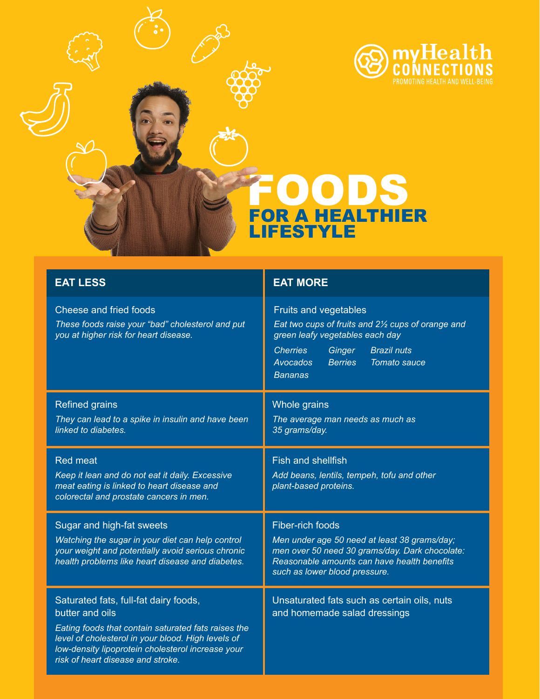

## FOODS FOR A HEALTHIER LIFESTYLE

| <b>EAT LESS</b>                                                                                                                                                                                                                                                 | <b>EAT MORE</b>                                                                                                                                                                                                                                 |
|-----------------------------------------------------------------------------------------------------------------------------------------------------------------------------------------------------------------------------------------------------------------|-------------------------------------------------------------------------------------------------------------------------------------------------------------------------------------------------------------------------------------------------|
| Cheese and fried foods<br>These foods raise your "bad" cholesterol and put<br>you at higher risk for heart disease.                                                                                                                                             | Fruits and vegetables<br>Eat two cups of fruits and 21/2 cups of orange and<br>green leafy vegetables each day<br><b>Cherries</b><br>Ginger<br><b>Brazil nuts</b><br><b>Berries</b><br><b>Tomato sauce</b><br><b>Avocados</b><br><b>Bananas</b> |
| <b>Refined grains</b>                                                                                                                                                                                                                                           | Whole grains                                                                                                                                                                                                                                    |
| They can lead to a spike in insulin and have been<br>linked to diabetes.                                                                                                                                                                                        | The average man needs as much as<br>35 grams/day.                                                                                                                                                                                               |
| <b>Red meat</b>                                                                                                                                                                                                                                                 | Fish and shellfish                                                                                                                                                                                                                              |
| Keep it lean and do not eat it daily. Excessive<br>meat eating is linked to heart disease and<br>colorectal and prostate cancers in men.                                                                                                                        | Add beans, lentils, tempeh, tofu and other<br>plant-based proteins.                                                                                                                                                                             |
| Sugar and high-fat sweets                                                                                                                                                                                                                                       | <b>Fiber-rich foods</b>                                                                                                                                                                                                                         |
| Watching the sugar in your diet can help control<br>your weight and potentially avoid serious chronic<br>health problems like heart disease and diabetes.                                                                                                       | Men under age 50 need at least 38 grams/day;<br>men over 50 need 30 grams/day. Dark chocolate:<br>Reasonable amounts can have health benefits<br>such as lower blood pressure.                                                                  |
| Saturated fats, full-fat dairy foods,<br>butter and oils<br>Eating foods that contain saturated fats raises the<br>level of cholesterol in your blood. High levels of<br>low-density lipoprotein cholesterol increase your<br>risk of heart disease and stroke. | Unsaturated fats such as certain oils, nuts<br>and homemade salad dressings                                                                                                                                                                     |